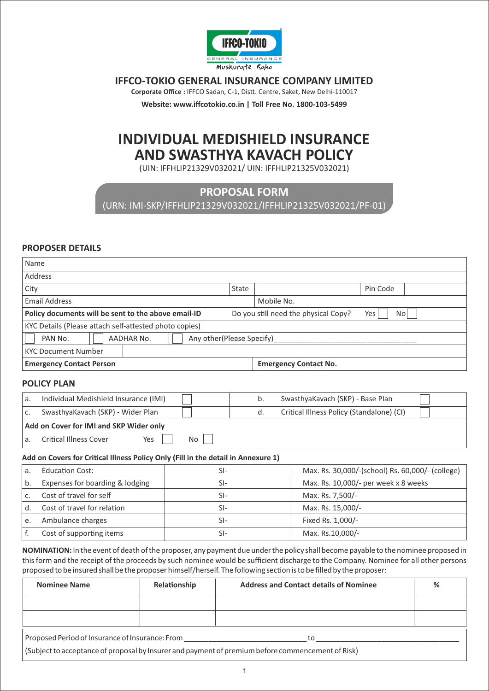

# **IFFCO-TOKIO GENERAL INSURANCE COMPANY LIMITED**

Corporate Office : IFFCO Sadan, C-1, Distt. Centre, Saket, New Delhi-110017

**Website: www.iffcotokio.co.in | Toll Free No. 1800-103-5499** 

# **INDIVIDUAL MEDISHIELD INSURANCE AND SWASTHYA KAVACH POLICY**

(UIN: IFFHLIP21329V032021/ UIN: IFFHLIP21325V032021)

# **PROPOSAL FORM**

(URN: IMI-SKP/IFFHLIP21329V032021/IFFHLIP21325V032021/PF-01)

#### **PROPOSER DETAILS**

| Name                                                                                                                                                                                                                                                                                                                                                                                                 |                                         |       |                                      |                                                  |                   |   |
|------------------------------------------------------------------------------------------------------------------------------------------------------------------------------------------------------------------------------------------------------------------------------------------------------------------------------------------------------------------------------------------------------|-----------------------------------------|-------|--------------------------------------|--------------------------------------------------|-------------------|---|
| Address                                                                                                                                                                                                                                                                                                                                                                                              |                                         |       |                                      |                                                  |                   |   |
| City                                                                                                                                                                                                                                                                                                                                                                                                 |                                         | State |                                      |                                                  | Pin Code          |   |
| <b>Email Address</b>                                                                                                                                                                                                                                                                                                                                                                                 |                                         |       |                                      | Mobile No.                                       |                   |   |
| Policy documents will be sent to the above email-ID                                                                                                                                                                                                                                                                                                                                                  |                                         |       |                                      | Do you still need the physical Copy?             | <b>No</b><br>Yes  |   |
| KYC Details (Please attach self-attested photo copies)                                                                                                                                                                                                                                                                                                                                               |                                         |       |                                      |                                                  |                   |   |
| PAN No.                                                                                                                                                                                                                                                                                                                                                                                              | AADHAR No.<br>Any other(Please Specify) |       |                                      |                                                  |                   |   |
| <b>KYC Document Number</b>                                                                                                                                                                                                                                                                                                                                                                           |                                         |       |                                      |                                                  |                   |   |
| <b>Emergency Contact Person</b>                                                                                                                                                                                                                                                                                                                                                                      |                                         |       |                                      | <b>Emergency Contact No.</b>                     |                   |   |
| <b>POLICY PLAN</b>                                                                                                                                                                                                                                                                                                                                                                                   |                                         |       |                                      |                                                  |                   |   |
| Individual Medishield Insurance (IMI)<br>a.                                                                                                                                                                                                                                                                                                                                                          |                                         |       | b.                                   | SwasthyaKavach (SKP) - Base Plan                 |                   |   |
| SwasthyaKavach (SKP) - Wider Plan<br>c.                                                                                                                                                                                                                                                                                                                                                              |                                         |       | d.                                   | Critical Illness Policy (Standalone) (CI)        |                   |   |
| Add on Cover for IMI and SKP Wider only                                                                                                                                                                                                                                                                                                                                                              |                                         |       |                                      |                                                  |                   |   |
| <b>Critical Illness Cover</b><br>a.                                                                                                                                                                                                                                                                                                                                                                  | Yes<br>No                               |       |                                      |                                                  |                   |   |
| Add on Covers for Critical Illness Policy Only (Fill in the detail in Annexure 1)                                                                                                                                                                                                                                                                                                                    |                                         |       |                                      |                                                  |                   |   |
| <b>Education Cost:</b><br>a.                                                                                                                                                                                                                                                                                                                                                                         | $SI-$                                   |       |                                      | Max. Rs. 30,000/-(school) Rs. 60,000/- (college) |                   |   |
| Expenses for boarding & lodging<br>b.                                                                                                                                                                                                                                                                                                                                                                | $SI-$                                   |       | Max. Rs. 10,000/- per week x 8 weeks |                                                  |                   |   |
| Cost of travel for self<br>c.                                                                                                                                                                                                                                                                                                                                                                        | $SI-$                                   |       | Max. Rs. 7,500/-                     |                                                  |                   |   |
| Cost of travel for relation<br>d.                                                                                                                                                                                                                                                                                                                                                                    | SI-                                     |       |                                      |                                                  | Max. Rs. 15,000/- |   |
| Ambulance charges<br>e.                                                                                                                                                                                                                                                                                                                                                                              | $SI-$                                   |       |                                      | Fixed Rs. 1,000/-                                |                   |   |
| f.<br>Cost of supporting items                                                                                                                                                                                                                                                                                                                                                                       | $SI-$                                   |       |                                      | Max. Rs.10,000/-                                 |                   |   |
| NOMINATION: In the event of death of the proposer, any payment due under the policy shall become payable to the nominee proposed in<br>this form and the receipt of the proceeds by such nominee would be sufficient discharge to the Company. Nominee for all other persons<br>proposed to be insured shall be the proposer himself/herself. The following section is to be filled by the proposer: |                                         |       |                                      |                                                  |                   |   |
| <b>Nominee Name</b><br>Relationship                                                                                                                                                                                                                                                                                                                                                                  |                                         |       |                                      | <b>Address and Contact details of Nominee</b>    |                   | % |
|                                                                                                                                                                                                                                                                                                                                                                                                      |                                         |       |                                      |                                                  |                   |   |
|                                                                                                                                                                                                                                                                                                                                                                                                      |                                         |       |                                      |                                                  |                   |   |
|                                                                                                                                                                                                                                                                                                                                                                                                      |                                         |       |                                      |                                                  |                   |   |
| Proposed Period of Insurance of Insurance: From                                                                                                                                                                                                                                                                                                                                                      |                                         |       |                                      | to                                               |                   |   |
| (Subject to acceptance of proposal by Insurer and payment of premium before commencement of Risk)                                                                                                                                                                                                                                                                                                    |                                         |       |                                      |                                                  |                   |   |

1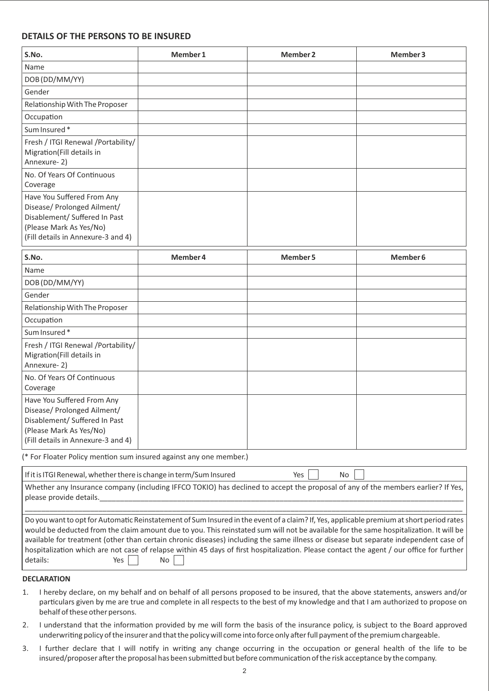#### **DETAILS OF THE PERSONS TO BE INSURED**

| S.No.                                                                                                                                                       | Member 1 | <b>Member 2</b> | Member 3            |
|-------------------------------------------------------------------------------------------------------------------------------------------------------------|----------|-----------------|---------------------|
| Name                                                                                                                                                        |          |                 |                     |
| DOB (DD/MM/YY)                                                                                                                                              |          |                 |                     |
| Gender                                                                                                                                                      |          |                 |                     |
| Relationship With The Proposer                                                                                                                              |          |                 |                     |
| Occupation                                                                                                                                                  |          |                 |                     |
| Sum Insured*                                                                                                                                                |          |                 |                     |
| Fresh / ITGI Renewal / Portability/<br>Migration(Fill details in<br>Annexure-2)                                                                             |          |                 |                     |
| No. Of Years Of Continuous<br>Coverage                                                                                                                      |          |                 |                     |
| Have You Suffered From Any<br>Disease/ Prolonged Ailment/<br>Disablement/ Suffered In Past<br>(Please Mark As Yes/No)<br>(Fill details in Annexure-3 and 4) |          |                 |                     |
| S.No.                                                                                                                                                       | Member 4 | Member 5        | Member <sub>6</sub> |
| Name                                                                                                                                                        |          |                 |                     |
| DOB (DD/MM/YY)                                                                                                                                              |          |                 |                     |
| Gender                                                                                                                                                      |          |                 |                     |
| Relationship With The Proposer                                                                                                                              |          |                 |                     |
| Occupation                                                                                                                                                  |          |                 |                     |
| Sum Insured*                                                                                                                                                |          |                 |                     |
| Fresh / ITGI Renewal / Portability/<br>Migration(Fill details in<br>Annexure-2)                                                                             |          |                 |                     |
| No. Of Years Of Continuous<br>Coverage                                                                                                                      |          |                 |                     |
| Have You Suffered From Any<br>Disease/ Prolonged Ailment/<br>Disablement/ Suffered In Past<br>(Please Mark As Yes/No)<br>(Fill details in Annexure-3 and 4) |          |                 |                     |
| (* For Floater Policy mention sum insured against any one member.)                                                                                          |          |                 |                     |
| If it is ITGI Renewal, whether there is change in term/Sum Insured                                                                                          |          | Yes<br>No       |                     |

| Whether any Insurance company (including IFFCO TOKIO) has declined to accept the proposal of any of the members earlier? If Yes, |
|----------------------------------------------------------------------------------------------------------------------------------|
| please provide details.                                                                                                          |
|                                                                                                                                  |

Do you want to opt for Automatic Reinstatement of Sum Insured in the event of a claim? If, Yes, applicable premium at short period rates would be deducted from the claim amount due to you. This reinstated sum will not be available for the same hospitalization. It will be available for treatment (other than certain chronic diseases) including the same illness or disease but separate independent case of hospitalization which are not case of relapse within 45 days of first hospitalization. Please contact the agent / our office for further details:  $Yes \tNo$ 

#### **DECLARATION**

- 1. I hereby declare, on my behalf and on behalf of all persons proposed to be insured, that the above statements, answers and/or particulars given by me are true and complete in all respects to the best of my knowledge and that I am authorized to propose on behalf of these other persons.
- 2. I understand that the information provided by me will form the basis of the insurance policy, is subject to the Board approved underwriting policy of the insurer and that the policy will come into force only after full payment of the premium chargeable.
- 3. I further declare that I will notify in writing any change occurring in the occupation or general health of the life to be insured/proposer after the proposal has been submitted but before communication of the risk acceptance by the company.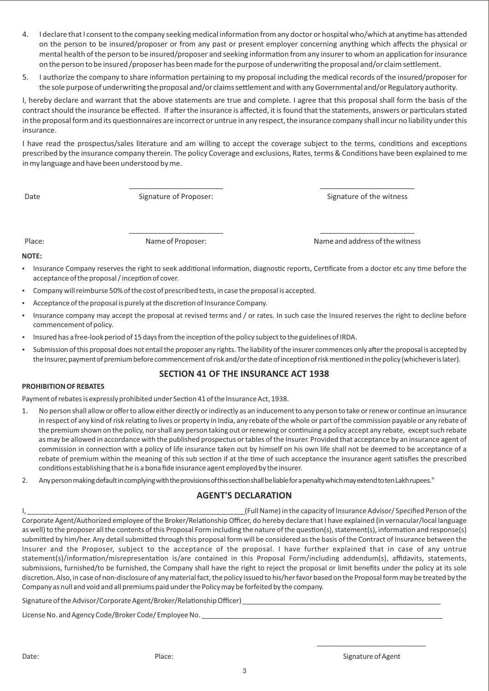- 4. I declare that I consent to the company seeking medical information from any doctor or hospital who/which at anytime has attended on the person to be insured/proposer or from any past or present employer concerning anything which affects the physical or mental health of the person to be insured/proposer and seeking information from any insurer to whom an application for insurance on the person to be insured /proposer has been made for the purpose of underwriting the proposal and/or claim settlement.
- 5. I authorize the company to share information pertaining to my proposal including the medical records of the insured/proposer for the sole purpose of underwriting the proposal and/or claims settlement and with any Governmental and/or Regulatory authority.

I, hereby declare and warrant that the above statements are true and complete. I agree that this proposal shall form the basis of the contract should the insurance be effected. If after the insurance is affected, it is found that the statements, answers or particulars stated in the proposal form and its questionnaires are incorrect or untrue in any respect, the insurance company shall incur no liability under this insurance.

I have read the prospectus/sales literature and am willing to accept the coverage subject to the terms, conditions and exceptions prescribed by the insurance company therein. The policy Coverage and exclusions, Rates, terms & Conditions have been explained to me in my language and have been understood by me.

Date Signature of Proposer: Same Signature of Proposer: Signature of the witness

Place: Name of Proposer: Name and address of the witness

#### **NOTE:**

Insurance Company reserves the right to seek additional information, diagnostic reports, Certificate from a doctor etc any time before the acceptance of the proposal / inception of cover.

\_\_\_\_\_\_\_\_\_\_\_\_\_\_\_\_\_\_\_\_\_\_\_ \_\_\_\_\_\_\_\_\_\_\_\_\_\_\_\_\_\_\_\_\_\_\_

\_\_\_\_\_\_\_\_\_\_\_\_\_\_\_\_\_\_\_\_\_\_\_ \_\_\_\_\_\_\_\_\_\_\_\_\_\_\_\_\_\_\_\_\_\_\_

- Company will reimburse 50% of the cost of prescribed tests, in case the proposal is accepted.
- Acceptance of the proposal is purely at the discretion of Insurance Company.
- Insurance company may accept the proposal at revised terms and / or rates. In such case the Insured reserves the right to decline before commencement of policy.
- Insured has a free-look period of 15 days from the inception of the policy subject to the guidelines of IRDA.
- Submission of this proposal does not entail the proposer any rights. The liability of the insurer commences only after the proposal is accepted by the Insurer, payment of premium before commencement of risk and/or the date of inception of risk mentioned in the policy (whichever is later).

#### **SECTION 41 OF THE INSURANCE ACT 1938**

#### **PROHIBITION OF REBATES**

Payment of rebates is expressly prohibited under Section 41 of the Insurance Act, 1938.

- 1. No person shall allow or offer to allow either directly or indirectly as an inducement to any person to take or renew or continue an insurance in respect of any kind of risk relating to lives or property in India, any rebate of the whole or part of the commission payable or any rebate of the premium shown on the policy, nor shall any person taking out or renewing or continuing a policy accept any rebate, except such rebate as may be allowed in accordance with the published prospectus or tables of the Insurer. Provided that acceptance by an insurance agent of commission in connection with a policy of life insurance taken out by himself on his own life shall not be deemed to be acceptance of a rebate of premium within the meaning of this sub section if at the time of such acceptance the insurance agent satisfies the prescribed conditions establishing that he is a bona fide insurance agent employed by the insurer.
- 2. Any person making default in complying with the provisions of this section shall be liable for a penalty which may extend to ten Lakh rupees."

#### **AGENT'S DECLARATION**

I, \_\_\_\_\_\_\_\_\_\_\_\_\_\_\_\_\_\_\_\_\_\_\_\_\_\_\_\_\_\_\_\_\_\_\_\_\_\_\_\_\_\_\_\_\_\_\_\_\_\_\_\_\_\_\_\_(Full Name) in the capacity of Insurance Advisor/ Specified Person of the Corporate Agent/Authorized employee of the Broker/Relationship Officer, do hereby declare that I have explained (in vernacular/local language as well) to the proposer all the contents of this Proposal Form including the nature of the question(s), statement(s), information and response(s) submitted by him/her. Any detail submitted through this proposal form will be considered as the basis of the Contract of Insurance between the Insurer and the Proposer, subject to the acceptance of the proposal. I have further explained that in case of any untrue statement(s)/information/misrepresentation is/are contained in this Proposal Form/including addendum(s), affidavits, statements, submissions, furnished/to be furnished, the Company shall have the right to reject the proposal or limit benefits under the policy at its sole discretion. Also, in case of non-disclosure of any material fact, the policy issued to his/her favor based on the Proposal form may be treated by the Company as null and void and all premiums paid under the Policy may be forfeited by the company.

Signature of the Advisor/Corporate Agent/Broker/Relationship Officer) \_\_

License No. and Agency Code/Broker Code/ Employee No.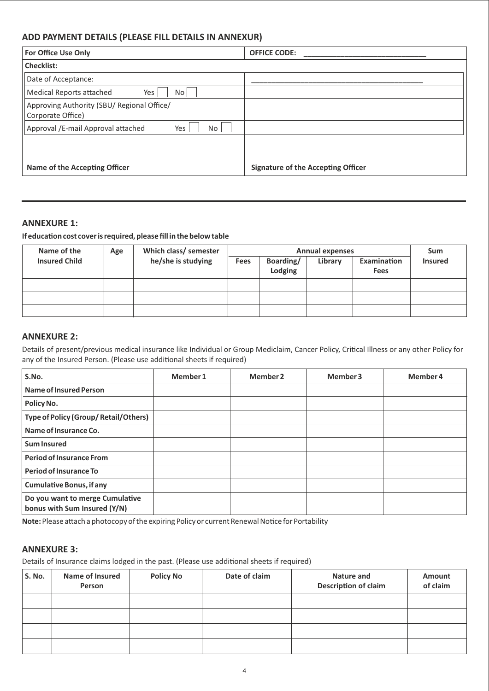## **ADD PAYMENT DETAILS (PLEASE FILL DETAILS IN ANNEXUR)**

| <b>For Office Use Only</b>                                      | <b>OFFICE CODE:</b>                       |
|-----------------------------------------------------------------|-------------------------------------------|
| <b>Checklist:</b>                                               |                                           |
| Date of Acceptance:                                             |                                           |
| <b>Medical Reports attached</b><br>Yes<br>No                    |                                           |
| Approving Authority (SBU/ Regional Office/<br>Corporate Office) |                                           |
| Approval /E-mail Approval attached<br>Yes<br>No                 |                                           |
|                                                                 |                                           |
|                                                                 |                                           |
| Name of the Accepting Officer                                   | <b>Signature of the Accepting Officer</b> |

## **ANNEXURE 1:**

#### **If education cost cover is required, please fill in the below table**

| Name of the          | Age | Which class/ semester |             | <b>Annual expenses</b> |         |                                   |                |
|----------------------|-----|-----------------------|-------------|------------------------|---------|-----------------------------------|----------------|
| <b>Insured Child</b> |     | he/she is studying    | <b>Fees</b> | Boarding/<br>Lodging   | Library | <b>Examination</b><br><b>Fees</b> | <b>Insured</b> |
|                      |     |                       |             |                        |         |                                   |                |
|                      |     |                       |             |                        |         |                                   |                |
|                      |     |                       |             |                        |         |                                   |                |

#### **ANNEXURE 2:**

Details of present/previous medical insurance like Individual or Group Mediclaim, Cancer Policy, Critical Illness or any other Policy for any of the Insured Person. (Please use additional sheets if required)

| S.No.                                                           | Member 1 | Member 2 | Member 3 | Member 4 |
|-----------------------------------------------------------------|----------|----------|----------|----------|
| Name of Insured Person                                          |          |          |          |          |
| Policy No.                                                      |          |          |          |          |
| <b>Type of Policy (Group/Retail/Others)</b>                     |          |          |          |          |
| Name of Insurance Co.                                           |          |          |          |          |
| <b>Sum Insured</b>                                              |          |          |          |          |
| <b>Period of Insurance From</b>                                 |          |          |          |          |
| Period of Insurance To                                          |          |          |          |          |
| <b>Cumulative Bonus, if any</b>                                 |          |          |          |          |
| Do you want to merge Cumulative<br>bonus with Sum Insured (Y/N) |          |          |          |          |

Note: Please attach a photocopy of the expiring Policy or current Renewal Notice for Portability

#### **ANNEXURE 3:**

Details of Insurance claims lodged in the past. (Please use additional sheets if required)

| S. No. | <b>Name of Insured</b><br>Person | <b>Policy No</b> | Date of claim | Nature and<br><b>Description of claim</b> | <b>Amount</b><br>of claim |
|--------|----------------------------------|------------------|---------------|-------------------------------------------|---------------------------|
|        |                                  |                  |               |                                           |                           |
|        |                                  |                  |               |                                           |                           |
|        |                                  |                  |               |                                           |                           |
|        |                                  |                  |               |                                           |                           |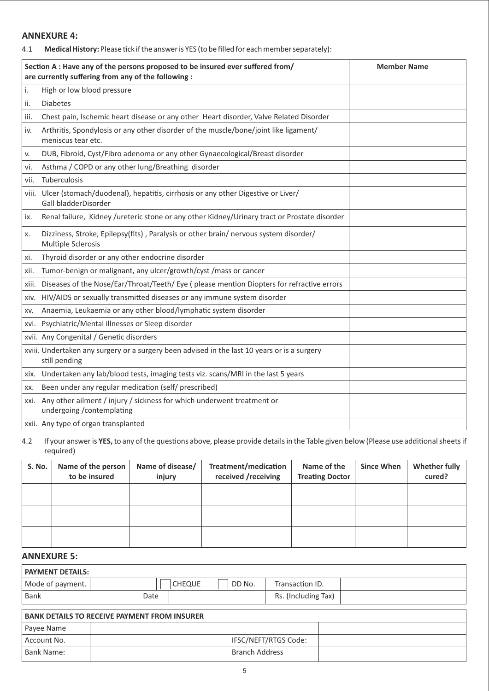# **ANNEXURE 4:**

4.1 **Medical History:** Please tick if the answer is YES (to be filled for each member separately):

|      | Section A : Have any of the persons proposed to be insured ever suffered from/<br>are currently suffering from any of the following : | <b>Member Name</b> |
|------|---------------------------------------------------------------------------------------------------------------------------------------|--------------------|
| i.   | High or low blood pressure                                                                                                            |                    |
| ii.  | <b>Diabetes</b>                                                                                                                       |                    |
| iii. | Chest pain, Ischemic heart disease or any other Heart disorder, Valve Related Disorder                                                |                    |
| iv.  | Arthritis, Spondylosis or any other disorder of the muscle/bone/joint like ligament/<br>meniscus tear etc.                            |                    |
| v.   | DUB, Fibroid, Cyst/Fibro adenoma or any other Gynaecological/Breast disorder                                                          |                    |
| vi.  | Asthma / COPD or any other lung/Breathing disorder                                                                                    |                    |
| vii. | Tuberculosis                                                                                                                          |                    |
|      | viii. Ulcer (stomach/duodenal), hepatitis, cirrhosis or any other Digestive or Liver/<br>Gall bladderDisorder                         |                    |
| ix.  | Renal failure, Kidney /ureteric stone or any other Kidney/Urinary tract or Prostate disorder                                          |                    |
| x.   | Dizziness, Stroke, Epilepsy(fits), Paralysis or other brain/ nervous system disorder/<br>Multiple Sclerosis                           |                    |
| xi.  | Thyroid disorder or any other endocrine disorder                                                                                      |                    |
| xii. | Tumor-benign or malignant, any ulcer/growth/cyst /mass or cancer                                                                      |                    |
|      | xiii. Diseases of the Nose/Ear/Throat/Teeth/ Eye (please mention Diopters for refractive errors                                       |                    |
|      | xiv. HIV/AIDS or sexually transmitted diseases or any immune system disorder                                                          |                    |
| XV.  | Anaemia, Leukaemia or any other blood/lymphatic system disorder                                                                       |                    |
|      | xvi. Psychiatric/Mental illnesses or Sleep disorder                                                                                   |                    |
|      | xvii. Any Congenital / Genetic disorders                                                                                              |                    |
|      | xviii. Undertaken any surgery or a surgery been advised in the last 10 years or is a surgery<br>still pending                         |                    |
|      | xix. Undertaken any lab/blood tests, imaging tests viz. scans/MRI in the last 5 years                                                 |                    |
| XX.  | Been under any regular medication (self/ prescribed)                                                                                  |                    |
|      | xxi. Any other ailment / injury / sickness for which underwent treatment or<br>undergoing /contemplating                              |                    |
|      | xxii. Any type of organ transplanted                                                                                                  |                    |

#### 4.2 If your answer is YES, to any of the questions above, please provide details in the Table given below (Please use additional sheets if required)

| S. No. | Name of the person<br>to be insured | Name of disease/<br>injury | Treatment/medication<br>received /receiving | Name of the<br><b>Treating Doctor</b> | <b>Since When</b> | <b>Whether fully</b><br>cured? |
|--------|-------------------------------------|----------------------------|---------------------------------------------|---------------------------------------|-------------------|--------------------------------|
|        |                                     |                            |                                             |                                       |                   |                                |
|        |                                     |                            |                                             |                                       |                   |                                |
|        |                                     |                            |                                             |                                       |                   |                                |

# **ANNEXURE 5:**

| <b>PAYMENT DETAILS:</b> |      |               |        |                     |  |
|-------------------------|------|---------------|--------|---------------------|--|
| Mode of payment.        |      | <b>CHEQUE</b> | DD No. | Transaction ID.     |  |
| Bank                    | Date |               |        | Rs. (Including Tax) |  |

| <b>BANK DETAILS TO RECEIVE PAYMENT FROM INSURER</b> |  |                       |  |  |  |
|-----------------------------------------------------|--|-----------------------|--|--|--|
| Payee Name                                          |  |                       |  |  |  |
| Account No.                                         |  | IFSC/NEFT/RTGS Code:  |  |  |  |
| Bank Name:                                          |  | <b>Branch Address</b> |  |  |  |